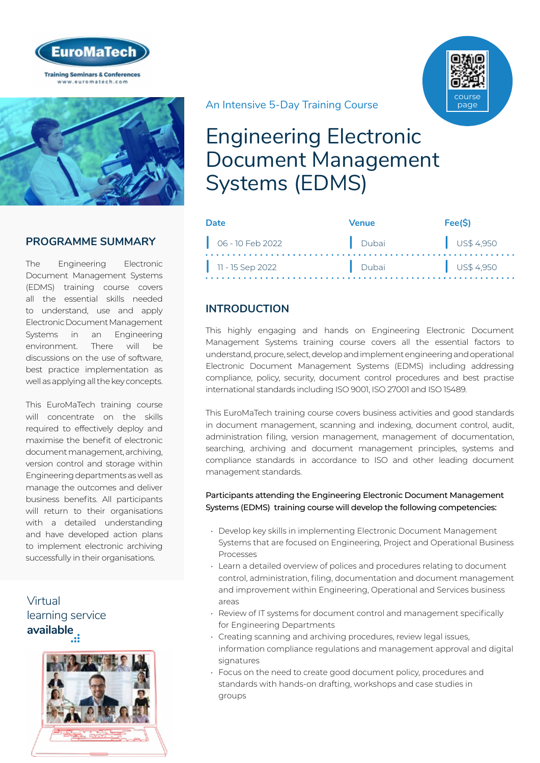



## **PROGRAMME SUMMARY**

The Engineering Electronic Document Management Systems (EDMS) training course covers all the essential skills needed to understand, use and apply Electronic Document Management Systems in an Engineering environment. There will be discussions on the use of software, best practice implementation as well as applying all the key concepts.

This EuroMaTech training course will concentrate on the skills required to effectively deploy and maximise the benefit of electronic document management, archiving, version control and storage within Engineering departments as well as manage the outcomes and deliver business benefits. All participants will return to their organisations with a detailed understanding and have developed action plans to implement electronic archiving successfully in their organisations.

Virtual [learning service](https://www.euromatech.com/seminars/engineering-electronic-document-management-systems-edms-1/)  **available**



An Intensive 5-Day Training Course

# Engineering Electronic Document Management Systems (EDMS)

| Date                        | Venue | Fee(S)                 |
|-----------------------------|-------|------------------------|
| $\bigcirc$ 06 - 10 Feb 2022 | Dubai | $\parallel$ US\$ 4,950 |
| $\vert$ 11 - 15 Sep 2022    | Dubai | $\bigcup$ US\$ 4,950   |

## **INTRODUCTION**

This highly engaging and hands on Engineering Electronic Document Management Systems training course covers all the essential factors to understand, procure, select, develop and implement engineering and operational Electronic Document Management Systems (EDMS) including addressing compliance, policy, security, document control procedures and best practise international standards including ISO 9001, ISO 27001 and ISO 15489.

This EuroMaTech training course covers business activities and good standards in document management, scanning and indexing, document control, audit, administration filing, version management, management of documentation, searching, archiving and document management principles, systems and compliance standards in accordance to ISO and other leading document management standards.

#### Participants attending the Engineering Electronic Document Management Systems (EDMS) training course will develop the following competencies:

- Develop key skills in implementing Electronic Document Management Systems that are focused on Engineering, Project and Operational Business Processes
- Learn a detailed overview of polices and procedures relating to document control, administration, filing, documentation and document management and improvement within Engineering, Operational and Services business areas
- Review of IT systems for document control and management specifically for Engineering Departments
- Creating scanning and archiving procedures, review legal issues, information compliance regulations and management approval and digital signatures
- Focus on the need to create good document policy, procedures and standards with hands-on drafting, workshops and case studies in groups

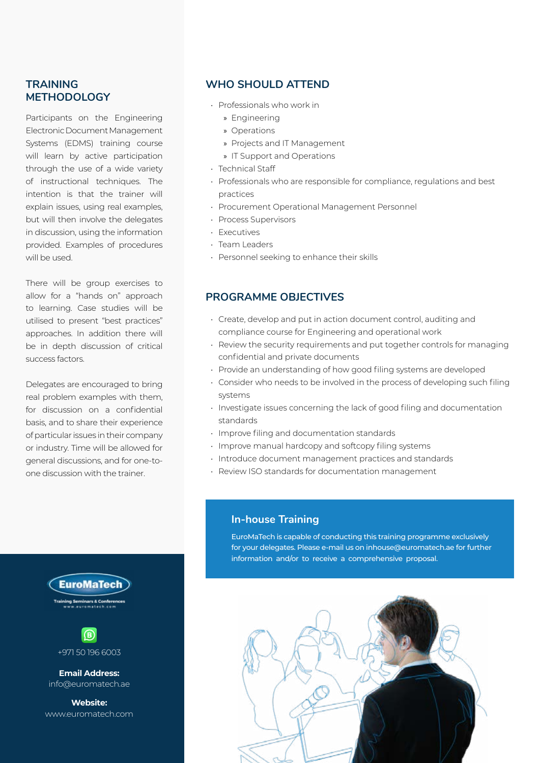## **TRAINING METHODOLOGY**

Participants on the Engineering Electronic Document Management Systems (EDMS) training course will learn by active participation through the use of a wide variety of instructional techniques. The intention is that the trainer will explain issues, using real examples, but will then involve the delegates in discussion, using the information provided. Examples of procedures will be used.

There will be group exercises to allow for a "hands on" approach to learning. Case studies will be utilised to present "best practices" approaches. In addition there will be in depth discussion of critical success factors.

Delegates are encouraged to bring real problem examples with them, for discussion on a confidential basis, and to share their experience of particular issues in their company or industry. Time will be allowed for general discussions, and for one-toone discussion with the trainer.

## **WHO SHOULD ATTEND**

- Professionals who work in
	- » Engineering
	- » Operations
	- » Projects and IT Management
	- » IT Support and Operations
- Technical Staff
- Professionals who are responsible for compliance, regulations and best practices
- Procurement Operational Management Personnel
- Process Supervisors
- Executives
- Team Leaders
- Personnel seeking to enhance their skills

## **PROGRAMME OBJECTIVES**

- Create, develop and put in action document control, auditing and compliance course for Engineering and operational work
- Review the security requirements and put together controls for managing confidential and private documents
- Provide an understanding of how good filing systems are developed
- Consider who needs to be involved in the process of developing such filing systems
- Investigate issues concerning the lack of good filing and documentation standards
- Improve filing and documentation standards
- Improve manual hardcopy and softcopy filing systems
- Introduce document management practices and standards
- Review ISO standards for documentation management

#### **In-house Training**

EuroMaTech is capable of conducting this training programme exclusively for your delegates. Please e-mail us on inhouse@euromatech.ae for further information and/or to receive a comprehensive proposal.







**Email Address:** info@euromatech.ae

**Website:** www.euromatech.com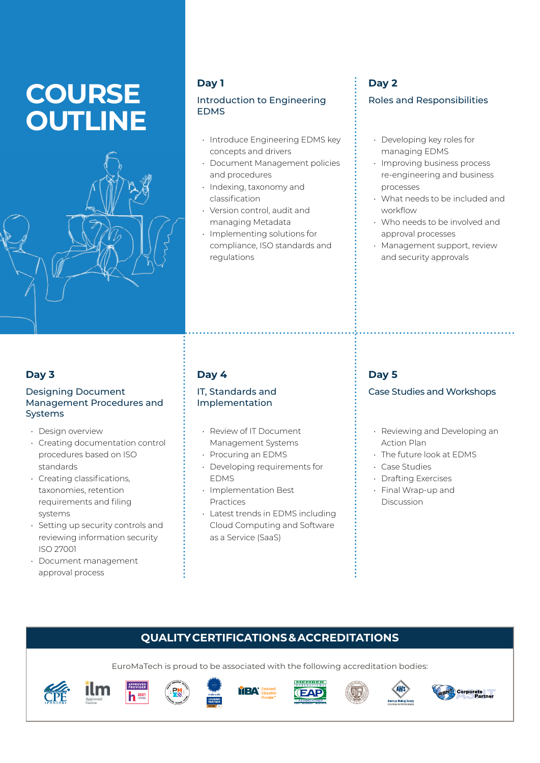# **COURSE OUTLINE**



## **Day 1**

## Introduction to Engineering EDMS

- Introduce Engineering EDMS key concepts and drivers
- Document Management policies and procedures
- Indexing, taxonomy and classification
- Version control, audit and managing Metadata
- Implementing solutions for compliance, ISO standards and regulations

# **Day 2**

## Roles and Responsibilities

- Developing key roles for managing EDMS
- Improving business process re-engineering and business processes
- What needs to be included and workflow
- Who needs to be involved and approval processes
- Management support, review and security approvals

## **Day 3**

#### Designing Document Management Procedures and Systems

- Design overview
- Creating documentation control procedures based on ISO standards
- Creating classifications, taxonomies, retention requirements and filing systems
- Setting up security controls and reviewing information security ISO 27001
- Document management approval process

# **Day 4**

## IT, Standards and Implementation

- Review of IT Document Management Systems
- Procuring an EDMS
- Developing requirements for EDMS
- Implementation Best Practices
- Latest trends in EDMS including Cloud Computing and Software as a Service (SaaS)

# **Day 5**

## Case Studies and Workshops

- Reviewing and Developing an Action Plan
- The future look at EDMS
- Case Studies
- Drafting Exercises
- Final Wrap-up and **Discussion**

# **QUALITY CERTIFICATIONS & ACCREDITATIONS**

EuroMaTech is proud to be associated with the following accreditation bodies:

YРЛ